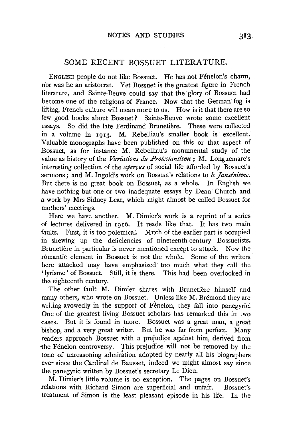## SOME RECENT BOSSUET LITERATURE.

ENGLISH people do not like Bossuet. He has not Fénelon's charm, nor was he an aristocrat. Yet Bossuet is the greatest figure in French literature, and Sainte-Beuve could say that the glory of Bossuet had become one of the religions of France. Now that the German fog is lifting, French culture will mean more to us. How is it that there are so few good books about Bossuet? Sainte-Beuve wrote some excellent essays. So did the late Ferdinand Brunetière. These were collected in a volume in 1913. M. Rebelliau's smaller book is· excellent. Valuable monographs have been published on this or that aspect of Bossuet, as for instance M. Rebelliau's monumental study of the value as history of the *Variations du Protestantisme;* M. Longuemare's interesting collection of the *aperrus* of social life afforded by Bossuet's sermons; and M. Ingold's work on Bossuet's relations to *le Janse'nisme.*  But there is no great book on Bossuet, as a whole. In English we have nothing but one or two inadequate essays by Dean Church and a work by Mrs Sidney Lear, which might almost be called Bossuet for mothers' meetings.

Here we have another. M. Dimier's work is a reprint of a series of lectures delivered in 1916. It reads like that. It has two main faults. First, it is too polemical. Much of the earlier part is occupied in shewing up the deficiencies of nineteenth-century Bossuetists. Brunetiere in particular is never mentioned except to attack. Now the romantic element in Bossuet is not the whole. Some of the writers here attacked may have emphasized too much what they call the 'lyrisme' of Bossuet. Still, it is there. This had been overlooked in the eighteenth century.

The other fault M. Dimier shares with Brunetière himself and many others, who wrote on Bossuet. Unless like M. Brémond they are writing avowedly in the support of Fénelon, they fall into panegyric. One of the greatest living Bossuet scholars has remarked this in two cases. But it is found in more. Bossuet was a great man, a great bishop, and a very great writer. But he was far from perfect. Many readers approach Bossuet with a prejudice against him, derived from the Fénelon controversy. This prejudice will not be removed by the tone of unreasoning admiration adopted by nearly all his biographers ever since the Cardinal de Bausset, indeed we might almost say since the panegyric written by Bossuet's secretary Le Dieu.

M. Dimier's little volume is no exception. . The pages on Bossuet's relations with Richard Simon are superficial and unfair. Bossuet's treatment of Simou is the least pleasant episode in his life. In the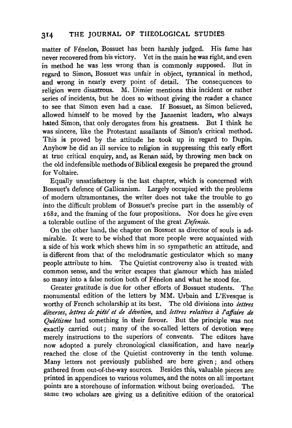## 314 THE JOURNAL OF THEOLOGICAL STUDIES

matter of Fénelon, Bossuet has been harshly judged. His fame has never recovered from his victory. Yet in the main he was right, and even in method he was less wrong than is commonly supposed. But in regard to Simon, Bossuet was unfair in object, tyrannical in method, and wrong in nearly every point of detail. The consequences to religion were disastrous. M. Dimier mentions this incident or rather series of incidents, but he does so without giving the reader a chance to see that Simon even had a case. If Bossuet, as Simon believed, allowed himself to be moved by the Jansenist leaders, who always hated Simon, that only derogates from his greatness. But I think he was sincere, like the Protestant assailants of Simon's critical method. This is proved by the attitude he took up in regard to Dupin. Anyhow he did an ill service to religion in suppressing this early effort at true critical enquiry, and, as Renan said, by throwing men back on the old indefensible methods of Biblical exegesis he prepared the ground for Voltaire.

Equally unsatisfactory is the last chapter, which is concerned with Bossuet's defence of Gallicanism. Largely occupied with the problems of modern ultramontanes, the writer does not take the trouble to go into the difficult problem of Bossuet's precise part in the assembly of 1682, and the framing of the four propositions. Nor does he give even a tolerable outline of the argument of the great *Defensio.* 

On the other hand, the chapter on Bossuet as director of souls is admirable. It were to be wished that more people were acquainted with a side of his work which shews him in so sympathetic an attitude, and is different from that of the melodramatic gesticulator which so many people attribute to him. The Quietist controversy also is treated with common sense, and the writer escapes that glamour which has misled so many into a false notion both of Fénelon and what he stood for.

Greater gratitude is due for other efforts of Bossuet students. The monumental edition of the letters by MM. Urbain and L'Evesque is worthy of French scholarship at its best. The old divisions into *lettres diverses, lettres de pittl et de devotion,* and *lettres relatives a l'affaire de Quittisme* had something in their favour. But the principle was not exactly carried out; many of the so-called letters of devotion were merely instructions to the superiors of convents. The editors have now adopted a purely chronological classification, and have nearly. reached the close of the Quietist controversy in the tenth volume. Many letters not previously published are here given; and others gathered from out-of-the-way sources. Besides this, valuable pieces are printed in appendices to various volumes, and the notes on all important points are a storehouse of information without being overloaded. The same two scholars are giving us a definitive edition of the oratorical